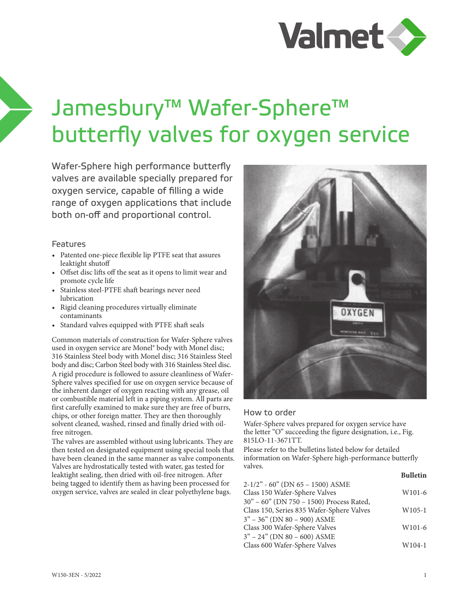

## Jamesbury™ Wafer-Sphere™ butterfly valves for oxygen service

Wafer-Sphere high performance butterfly valves are available specially prepared for oxygen service, capable of filling a wide range of oxygen applications that include both on-off and proportional control.

## Features

- Patented one-piece flexible lip PTFE seat that assures leaktight shutoff
- Offset disc lifts off the seat as it opens to limit wear and promote cycle life
- Stainless steel-PTFE shaft bearings never need lubrication
- Rigid cleaning procedures virtually eliminate contaminants
- Standard valves equipped with PTFE shaft seals

Common materials of construction for Wafer-Sphere valves used in oxygen service are Monel® body with Monel disc; 316 Stainless Steel body with Monel disc; 316 Stainless Steel body and disc; Carbon Steel body with 316 Stainless Steel disc. A rigid procedure is followed to assure cleanliness of Wafer-Sphere valves specified for use on oxygen service because of the inherent danger of oxygen reacting with any grease, oil or combustible material left in a piping system. All parts are first carefully examined to make sure they are free of burrs, chips, or other foreign matter. They are then thoroughly solvent cleaned, washed, rinsed and finally dried with oilfree nitrogen.

The valves are assembled without using lubricants. They are then tested on designated equipment using special tools that have been cleaned in the same manner as valve components. Valves are hydrostatically tested with water, gas tested for leaktight sealing, then dried with oil-free nitrogen. After being tagged to identify them as having been processed for oxygen service, valves are sealed in clear polyethylene bags.



## How to order

Wafer-Sphere valves prepared for oxygen service have the letter "O" succeeding the figure designation, i.e., Fig. 815LO-11-3671TT.

Please refer to the bulletins listed below for detailed information on Wafer-Sphere high-performance butterfly valves. **Bulletin**

|                                           | DUNCLIN            |
|-------------------------------------------|--------------------|
| $2-1/2$ " - 60" (DN 65 - 1500) ASME       |                    |
| Class 150 Wafer-Sphere Valves             | W <sub>101-6</sub> |
| 30" - 60" (DN 750 - 1500) Process Rated,  |                    |
| Class 150, Series 835 Wafer-Sphere Valves | $W105-1$           |
| $3" - 36"$ (DN 80 - 900) ASME             |                    |
| Class 300 Wafer-Sphere Valves             | W <sub>101-6</sub> |
| $3" - 24"$ (DN 80 - 600) ASME             |                    |
| Class 600 Wafer-Sphere Valves             | W104-1             |
|                                           |                    |